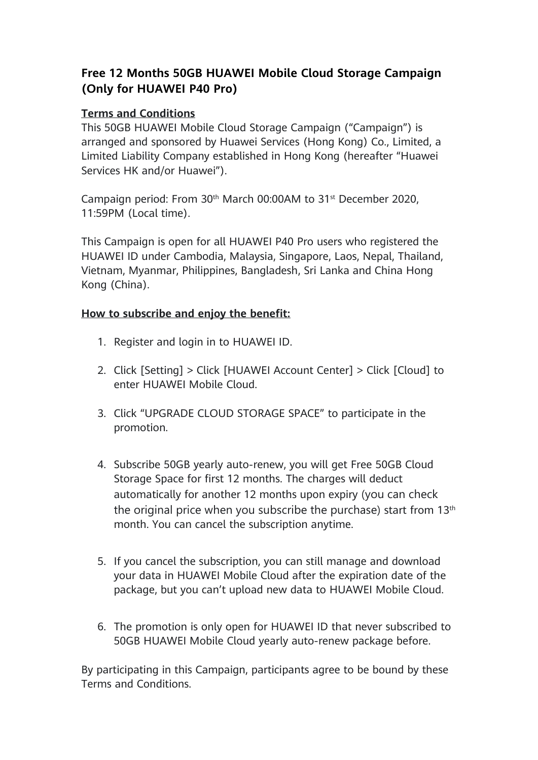## **Free 12 Months 50GB HUAWEI Mobile Cloud Storage Campaign (Only for HUAWEI P40 Pro)**

## **Terms and Conditions**

This 50GB HUAWEI Mobile Cloud Storage Campaign ("Campaign") is arranged and sponsored by Huawei Services (Hong Kong) Co., Limited, a Limited Liability Company established in Hong Kong (hereafter "Huawei Services HK and/or Huawei").

Campaign period: From 30th March 00:00AM to 31st December 2020, 11:59PM (Local time).

This Campaign is open for all HUAWEI P40 Pro users who registered the HUAWEI ID under Cambodia, Malaysia, Singapore, Laos, Nepal, Thailand, Vietnam, Myanmar, Philippines, Bangladesh, Sri Lanka and China Hong Kong (China).

## **How to subscribe and enjoy the benefit:**

- 1. Register and login in to HUAWEI ID.
- 2. Click [Setting] > Click [HUAWEI Account Center] > Click [Cloud] to enter HUAWEI Mobile Cloud.
- 3. Click "UPGRADE CLOUD STORAGE SPACE" to participate in the promotion.
- 4. Subscribe 50GB yearly auto-renew, you will get Free 50GB Cloud Storage Space for first 12 months. The charges will deduct automatically for another 12 months upon expiry (you can check the original price when you subscribe the purchase) start from 13<sup>th</sup> month. You can cancel the subscription anytime.
- 5. If you cancel the subscription, you can still manage and download your data in HUAWEI Mobile Cloud after the expiration date of the package, but you can't upload new data to HUAWEI Mobile Cloud.
- 6. The promotion is only open for HUAWEI ID that never subscribed to 50GB HUAWEI Mobile Cloud yearly auto-renew package before.

By participating in this Campaign, participants agree to be bound by these Terms and Conditions.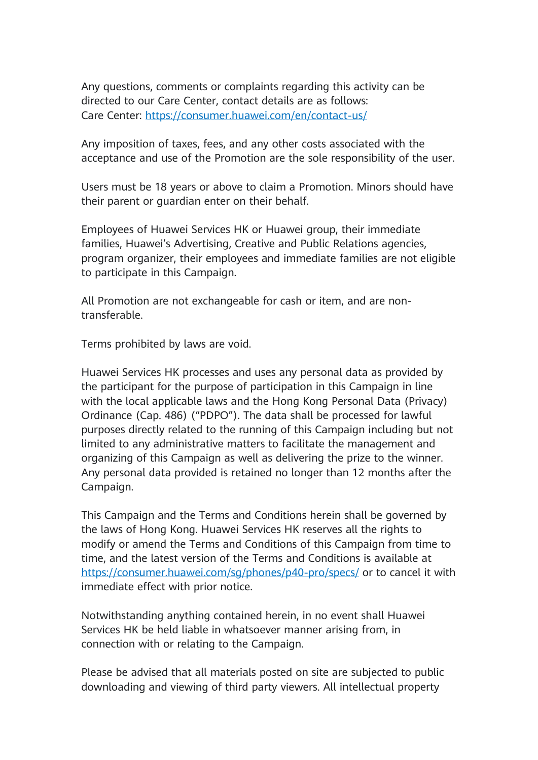Any questions, comments or complaints regarding this activity can be directed to our Care Center, contact details are as follows: Care Center: [https://consumer.huawei.com/en/contact-us/](https://l.facebook.com/l.php?u=https%3A%2F%2Fconsumer.huawei.com%2Fen%2Fcontact-us%2F%3Ffbclid%3DIwAR1zAItKeYfyf84Gcb5xNrXOUNq1g1xdqCcw1-0xkUaKWTahPwnTSwdci-o&h=AT0llC6U_umglINQZGf3dBwWdS05x0dkPVw3zV-R9EmfjBo6mcEPEk9eDgEFASifrptMtPM6zBx3Q7en36uv-y3SEEt8DU0MQlScO00ChLS-zIPmZ2XgQqRCKPV2YiVTdXc)

Any imposition of taxes, fees, and any other costs associated with the acceptance and use of the Promotion are the sole responsibility of the user.

Users must be 18 years or above to claim a Promotion. Minors should have their parent or guardian enter on their behalf.

Employees of Huawei Services HK or Huawei group, their immediate families, Huawei's Advertising, Creative and Public Relations agencies, program organizer, their employees and immediate families are not eligible to participate in this Campaign.

All Promotion are not exchangeable for cash or item, and are nontransferable.

Terms prohibited by laws are void.

Huawei Services HK processes and uses any personal data as provided by the participant for the purpose of participation in this Campaign in line with the local applicable laws and the Hong Kong Personal Data (Privacy) Ordinance (Cap. 486) ("PDPO"). The data shall be processed for lawful purposes directly related to the running of this Campaign including but not limited to any administrative matters to facilitate the management and organizing of this Campaign as well as delivering the prize to the winner. Any personal data provided is retained no longer than 12 months after the Campaign.

This Campaign and the Terms and Conditions herein shall be governed by the laws of Hong Kong. Huawei Services HK reserves all the rights to modify or amend the Terms and Conditions of this Campaign from time to time, and the latest version of the Terms and Conditions is available at <https://consumer.huawei.com/sg/phones/p40-pro/specs/> or to cancel it with immediate effect with prior notice.

Notwithstanding anything contained herein, in no event shall Huawei Services HK be held liable in whatsoever manner arising from, in connection with or relating to the Campaign.

Please be advised that all materials posted on site are subjected to public downloading and viewing of third party viewers. All intellectual property